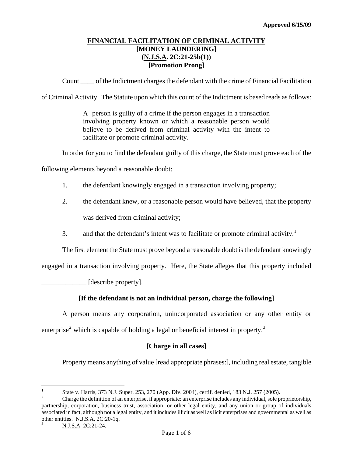# **FINANCIAL FACILITATION OF CRIMINAL ACTIVITY [MONEY LAUNDERING] (N.J.S.A. 2C:21-25b(1)) [Promotion Prong]**

Count \_\_\_\_ of the Indictment charges the defendant with the crime of Financial Facilitation

of Criminal Activity. The Statute upon which this count of the Indictment is based reads as follows:

A person is guilty of a crime if the person engages in a transaction involving property known or which a reasonable person would believe to be derived from criminal activity with the intent to facilitate or promote criminal activity.

In order for you to find the defendant guilty of this charge, the State must prove each of the

following elements beyond a reasonable doubt:

- 1. the defendant knowingly engaged in a transaction involving property;
- 2. the defendant knew, or a reasonable person would have believed, that the property was derived from criminal activity;
- 3. and that the defendant's intent was to facilitate or promote criminal activity.<sup>[1](#page-0-0)</sup>

The first element the State must prove beyond a reasonable doubt is the defendant knowingly

engaged in a transaction involving property. Here, the State alleges that this property included

\_\_\_\_\_\_\_\_\_\_\_\_\_ [describe property].

## **[If the defendant is not an individual person, charge the following]**

A person means any corporation, unincorporated association or any other entity or enterprise<sup>[2](#page-0-1)</sup> which is capable of holding a legal or beneficial interest in property.<sup>[3](#page-0-2)</sup>

## **[Charge in all cases]**

Property means anything of value [read appropriate phrases:], including real estate, tangible

<span id="page-0-0"></span> $\frac{1}{1}$  $\frac{S}{2}$  State v. Harris, 373 N.J. Super. 253, 270 (App. Div. 2004), certif. denied, 183 N.J. 257 (2005).

<span id="page-0-3"></span><span id="page-0-1"></span>Charge the definition of an enterprise, if appropriate: an enterprise includes any individual, sole proprietorship, partnership, corporation, business trust, association, or other legal entity, and any union or group of individuals associated in fact, although not a legal entity, and it includes illicit as well as licit enterprises and governmental as well as other entities. N.J.S.A. 2C:20-1q. 3

<span id="page-0-2"></span>N.J.S.A. 2C:21-24.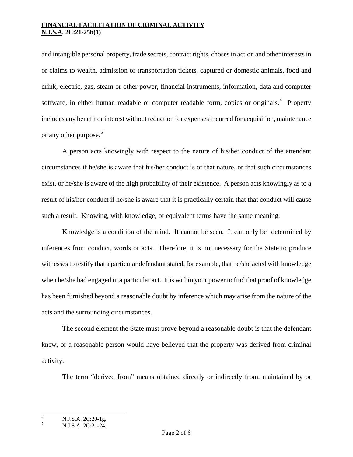and intangible personal property, trade secrets, contract rights, choses in action and other interests in or claims to wealth, admission or transportation tickets, captured or domestic animals, food and drink, electric, gas, steam or other power, financial instruments, information, data and computer software, in either human readable or computer readable form, copies or originals.<sup>[4](#page-0-3)</sup> Property includes any benefit or interest without reduction for expenses incurred for acquisition, maintenance or any other purpose.<sup>[5](#page-1-0)</sup>

A person acts knowingly with respect to the nature of his/her conduct of the attendant circumstances if he/she is aware that his/her conduct is of that nature, or that such circumstances exist, or he/she is aware of the high probability of their existence. A person acts knowingly as to a result of his/her conduct if he/she is aware that it is practically certain that that conduct will cause such a result. Knowing, with knowledge, or equivalent terms have the same meaning.

Knowledge is a condition of the mind. It cannot be seen. It can only be determined by inferences from conduct, words or acts. Therefore, it is not necessary for the State to produce witnesses to testify that a particular defendant stated, for example, that he/she acted with knowledge when he/she had engaged in a particular act. It is within your power to find that proof of knowledge has been furnished beyond a reasonable doubt by inference which may arise from the nature of the acts and the surrounding circumstances.

The second element the State must prove beyond a reasonable doubt is that the defendant knew, or a reasonable person would have believed that the property was derived from criminal activity.

The term "derived from" means obtained directly or indirectly from, maintained by or

<span id="page-1-1"></span>i<br>Li

<sup>4</sup> N.J.S.A. 2C:20-1g.

<span id="page-1-0"></span>N.J.S.A. 2C:21-24.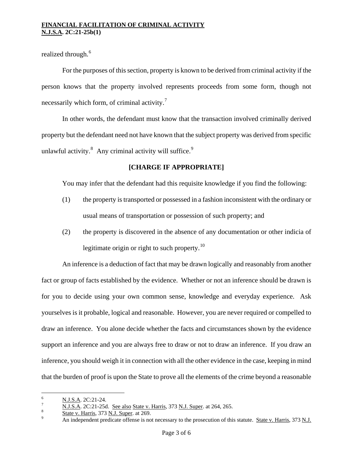realized through.<sup>[6](#page-1-1)</sup>

For the purposes of this section, property is known to be derived from criminal activity if the person knows that the property involved represents proceeds from some form, though not necessarily which form, of criminal activity.<sup>[7](#page-2-0)</sup>

In other words, the defendant must know that the transaction involved criminally derived property but the defendant need not have known that the subject property was derived from specific unlawful activity. $8$  Any criminal activity will suffice.<sup>[9](#page-2-2)</sup>

## **[CHARGE IF APPROPRIATE]**

You may infer that the defendant had this requisite knowledge if you find the following:

- (1) the property is transported or possessed in a fashion inconsistent with the ordinary or usual means of transportation or possession of such property; and
- (2) the property is discovered in the absence of any documentation or other indicia of legitimate origin or right to such property.<sup>[10](#page-2-0)</sup>

An inference is a deduction of fact that may be drawn logically and reasonably from another fact or group of facts established by the evidence. Whether or not an inference should be drawn is for you to decide using your own common sense, knowledge and everyday experience. Ask yourselves is it probable, logical and reasonable. However, you are never required or compelled to draw an inference. You alone decide whether the facts and circumstances shown by the evidence support an inference and you are always free to draw or not to draw an inference. If you draw an inference, you should weigh it in connection with all the other evidence in the case, keeping in mind that the burden of proof is upon the State to prove all the elements of the crime beyond a reasonable

 6  $\frac{6}{7}$  N.J.S.A. 2C:21-24.

<span id="page-2-0"></span> $\frac{N \text{ J.S.A.}}{8}$  2C:21-25d. <u>See also State v. Harris</u>, 373 <u>N.J. Super</u>. at 264, 265.

<span id="page-2-2"></span><span id="page-2-1"></span> $\frac{1}{9}$  State v. Harris, 373 <u>N.J. Super</u>. at 269.

An independent predicate offense is not necessary to the prosecution of this statute. State v. Harris, 373 N.J.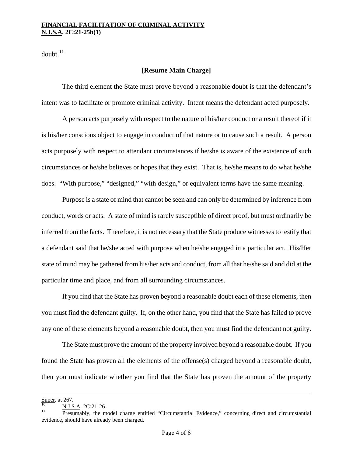$doubt.<sup>11</sup>$  $doubt.<sup>11</sup>$  $doubt.<sup>11</sup>$ 

## **[Resume Main Charge]**

The third element the State must prove beyond a reasonable doubt is that the defendant's intent was to facilitate or promote criminal activity. Intent means the defendant acted purposely.

A person acts purposely with respect to the nature of his/her conduct or a result thereof if it is his/her conscious object to engage in conduct of that nature or to cause such a result. A person acts purposely with respect to attendant circumstances if he/she is aware of the existence of such circumstances or he/she believes or hopes that they exist. That is, he/she means to do what he/she does. "With purpose," "designed," "with design," or equivalent terms have the same meaning.

Purpose is a state of mind that cannot be seen and can only be determined by inference from conduct, words or acts. A state of mind is rarely susceptible of direct proof, but must ordinarily be inferred from the facts. Therefore, it is not necessary that the State produce witnesses to testify that a defendant said that he/she acted with purpose when he/she engaged in a particular act. His/Her state of mind may be gathered from his/her acts and conduct, from all that he/she said and did at the particular time and place, and from all surrounding circumstances.

If you find that the State has proven beyond a reasonable doubt each of these elements, then you must find the defendant guilty. If, on the other hand, you find that the State has failed to prove any one of these elements beyond a reasonable doubt, then you must find the defendant not guilty.

The State must prove the amount of the property involved beyond a reasonable doubt. If you found the State has proven all the elements of the offense(s) charged beyond a reasonable doubt, then you must indicate whether you find that the State has proven the amount of the property

<span id="page-3-0"></span>i<br>Li

Super. at 267.<br>  $\frac{N.J.S.A.}{N}$  2C:21-26.<br>
Presumably, the model charge entitled "Circumstantial Evidence," concerning direct and circumstantial evidence, should have already been charged.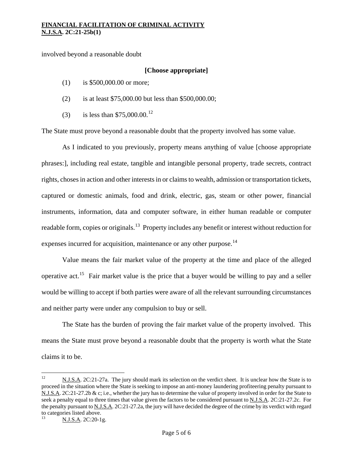involved beyond a reasonable doubt

### **[Choose appropriate]**

- (1) is \$500,000.00 or more;
- (2) is at least \$75,000.00 but less than \$500,000.00;
- (3) is less than  $$75,000.00$ .<sup>[12](#page-3-0)</sup>

The State must prove beyond a reasonable doubt that the property involved has some value.

As I indicated to you previously, property means anything of value [choose appropriate phrases:], including real estate, tangible and intangible personal property, trade secrets, contract rights, choses in action and other interests in or claims to wealth, admission or transportation tickets, captured or domestic animals, food and drink, electric, gas, steam or other power, financial instruments, information, data and computer software, in either human readable or computer readable form, copies or originals.<sup>[13](#page-4-0)</sup> Property includes any benefit or interest without reduction for expenses incurred for acquisition, maintenance or any other purpose.<sup>[14](#page-4-1)</sup>

Value means the fair market value of the property at the time and place of the alleged operative act.<sup>[15](#page-4-2)</sup> Fair market value is the price that a buyer would be willing to pay and a seller would be willing to accept if both parties were aware of all the relevant surrounding circumstances and neither party were under any compulsion to buy or sell.

The State has the burden of proving the fair market value of the property involved. This means the State must prove beyond a reasonable doubt that the property is worth what the State claims it to be.

 $12\,$ 12 N.J.S.A. 2C:21-27a. The jury should mark its selection on the verdict sheet. It is unclear how the State is to proceed in the situation where the State is seeking to impose an anti-money laundering profiteering penalty pursuant to N.J.S.A. 2C:21-27.2b & c; i.e., whether the jury has to determine the value of property involved in order for the State to seek a penalty equal to three times that value given the factors to be considered pursuant to N.J.S.A. 2C:21-27.2c. For the penalty pursuant to N.J.S.A. 2C:21-27.2a, the jury will have decided the degree of the crime by its verdict with regard to categories listed above.

<span id="page-4-3"></span><span id="page-4-2"></span><span id="page-4-1"></span><span id="page-4-0"></span>N.J.S.A. 2C:20-1g.